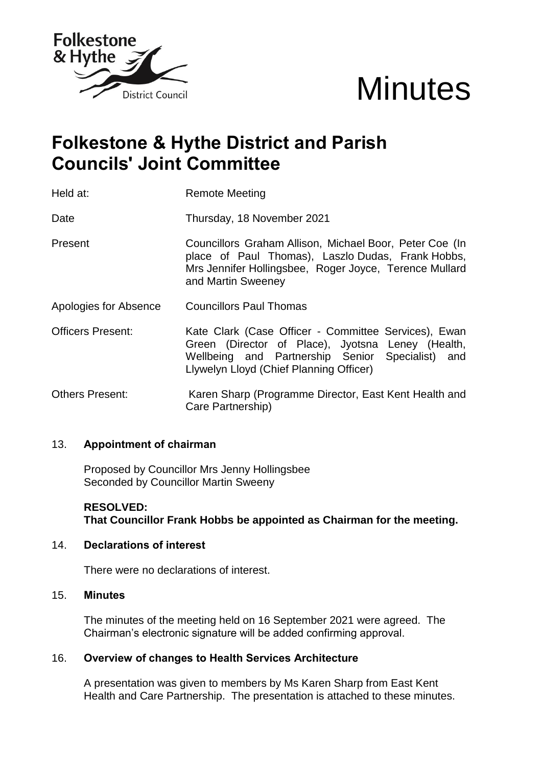



# **Folkestone & Hythe District and Parish Councils' Joint Committee**

Held at: Remote Meeting

Date **Thursday, 18 November 2021** 

- Present Councillors Graham Allison, Michael Boor, Peter Coe (In place of Paul Thomas), Laszlo Dudas, Frank Hobbs, Mrs Jennifer Hollingsbee, Roger Joyce, Terence Mullard and Martin Sweeney
- Apologies for Absence Councillors Paul Thomas
- Officers Present: Kate Clark (Case Officer Committee Services), Ewan Green (Director of Place), Jyotsna Leney (Health, Wellbeing and Partnership Senior Specialist) and Llywelyn Lloyd (Chief Planning Officer)
- Others Present: Karen Sharp (Programme Director, East Kent Health and Care Partnership)

#### 13. **Appointment of chairman**

Proposed by Councillor Mrs Jenny Hollingsbee Seconded by Councillor Martin Sweeny

### **RESOLVED: That Councillor Frank Hobbs be appointed as Chairman for the meeting.**

#### 14. **Declarations of interest**

There were no declarations of interest.

#### 15. **Minutes**

The minutes of the meeting held on 16 September 2021 were agreed. The Chairman's electronic signature will be added confirming approval.

#### 16. **Overview of changes to Health Services Architecture**

A presentation was given to members by Ms Karen Sharp from East Kent Health and Care Partnership. The presentation is attached to these minutes.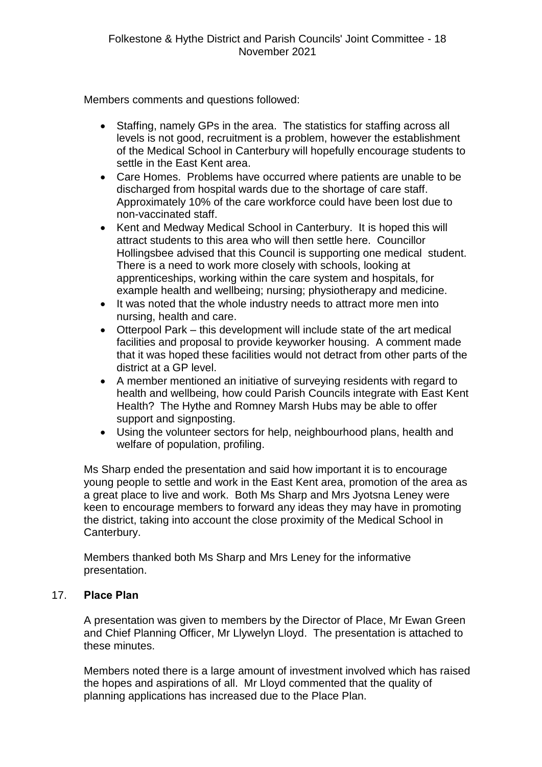Members comments and questions followed:

- Staffing, namely GPs in the area. The statistics for staffing across all levels is not good, recruitment is a problem, however the establishment of the Medical School in Canterbury will hopefully encourage students to settle in the East Kent area.
- Care Homes. Problems have occurred where patients are unable to be discharged from hospital wards due to the shortage of care staff. Approximately 10% of the care workforce could have been lost due to non-vaccinated staff.
- Kent and Medway Medical School in Canterbury. It is hoped this will attract students to this area who will then settle here. Councillor Hollingsbee advised that this Council is supporting one medical student. There is a need to work more closely with schools, looking at apprenticeships, working within the care system and hospitals, for example health and wellbeing; nursing; physiotherapy and medicine.
- It was noted that the whole industry needs to attract more men into nursing, health and care.
- Otterpool Park this development will include state of the art medical facilities and proposal to provide keyworker housing. A comment made that it was hoped these facilities would not detract from other parts of the district at a GP level.
- A member mentioned an initiative of surveying residents with regard to health and wellbeing, how could Parish Councils integrate with East Kent Health? The Hythe and Romney Marsh Hubs may be able to offer support and signposting.
- Using the volunteer sectors for help, neighbourhood plans, health and welfare of population, profiling.

Ms Sharp ended the presentation and said how important it is to encourage young people to settle and work in the East Kent area, promotion of the area as a great place to live and work. Both Ms Sharp and Mrs Jyotsna Leney were keen to encourage members to forward any ideas they may have in promoting the district, taking into account the close proximity of the Medical School in Canterbury.

Members thanked both Ms Sharp and Mrs Leney for the informative presentation.

## 17. **Place Plan**

A presentation was given to members by the Director of Place, Mr Ewan Green and Chief Planning Officer, Mr Llywelyn Lloyd. The presentation is attached to these minutes.

Members noted there is a large amount of investment involved which has raised the hopes and aspirations of all. Mr Lloyd commented that the quality of planning applications has increased due to the Place Plan.